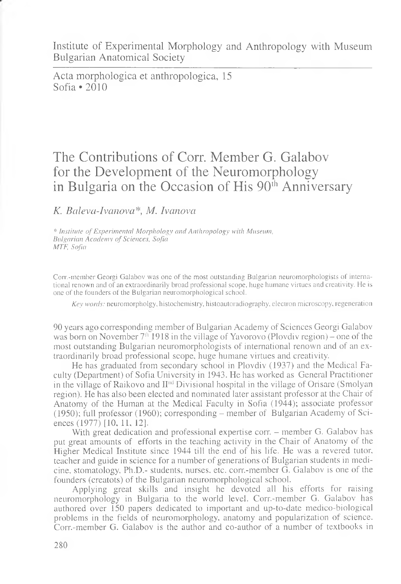Institute of Experimental Morphology and Anthropology with Museum Bulgarian Anatomical Society

Acta morphologica et anthropologica, 15 Sofia \*2010

## The Contributions of Corr. Member G. Galabov for the Development of the Neuromorphology in Bulgaria on the Occasion of His  $90<sup>th</sup>$  Anniversary

## *K. Balevci-Ivanova\*, M. Ivanova*

\* *Institute of Experimental Morphology cmcl Anthropology with Museum, Bulgarian Academy of Sciences, Sofia MTF, Sofia*

Corr.-member Georgi Galabov was one of the most outstanding Bulgarian neuromorphologists of international renown and of an extraordinarily broad professional scope, huge humane virtues and creativity. He is one of the founders of the Bulgarian neuromorphological school.

*Key words:* neuromorpholgy, histochemistry, histoautoradiography, electron microscopy, regeneration

90 years ago corresponding member of Bulgarian Academy of Sciences Georgi Galabov was born on November  $7<sup>th</sup>$  1918 in the village of Yavorovo (Plovdiv region) – one of the most outstanding Bulgarian neuromorphologists of international renown and of an extraordinarily broad professional scope, huge humane virtues and creativity.

He has graduated from secondary school in Plovdiv (1937) and the Medical Faculty (Department) of Sofia University in 1943. He has worked as General Practitioner in the village of Raikovo and  $II<sup>nd</sup> Divisional hospital in the village of Orisare (Smolyan)$ region). He has also been elected and nominated later assistant professor at the Chair of Anatomy of the Human at the Medical Faculty in Sofia (1944); associate professor (1950); full professor (1960); corresponding – member of Bulgarian Academy of Sciences (1977) [10, 11, 12].

With great dedication and professional expertise corr. - member G. Galabov has put great amounts of efforts in the teaching activity in the Chair of Anatomy of the Higher Medical Institute since 1944 till the end of his life. He was a revered tutor, teacher and guide in science for a number of generations of Bulgarian students in medicine, stomatology, Ph.D.- students, nurses, etc. corn-member G. Galabov is one of the founders (creatots) of the Bulgarian neuromorphological school.

Applying great skills and insight he devoted all his efforts for raising neuromorphology in Bulgaria to the world level. Corr.-member G. Galabov has authored over 150 papers dedicated to important and up-to-date medico-biological problems in the fields of neuromorphology, anatomy and popularization of science. Corr.-member G. Galabov is the author and co-author of a number of textbooks in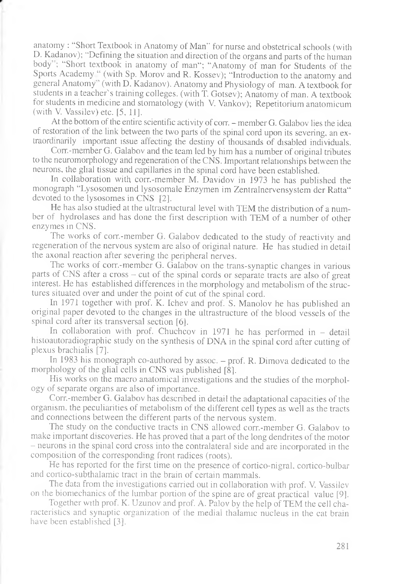anatomy : "Short Textbook in Anatomy of Man" for nurse and obstetrical schools (with D. Kadanov); "Defining the situation and direction of the organs and parts of the human body"; "Short textbook in anatomy of man"; "Anatomy of man for Students of the Sports Academy " (with Sp. Morov and R. Kossev); "Introduction to the anatomy and general Anatomy" (with D. Kadanov). Anatomy and Physiology of man. A textbook for students in a teacher's training colleges, (with T. Gotsev); Anatomy of man. A textbook for students in medicine and stomatology (with V. Vankov); Repetitorium anatomicum (with V. Vassilev) etc. [5, 11].

At the bottom of the entire scientific activity of corr. - member G. Galabov lies the idea of restoration of the link between the two parts of the spinal cord upon its severing, an extraordinarily important issue affecting the destiny of thousands of disabled individuals.

Corn-member G. Galabov and the team led by him has a number of original tributes to the neuromorphology and regeneration of the CNS. Important relationships between the neurons, the glial tissue and capillaries in the spinal cord have been established.

In collaboration with corr.-member M. Davidov in 1973 he has published the monograph "Lysosomen und lysosomale Enzymen im Zentralnervensystem der Ratta" devoted to the lysosomes in CNS [2].

He has also studied at the ultrastructural level with TEM the distribution of a number of hydrolases and has done the first description with TEM of a number of other enzymes in CNS.

The works of corr.-member G. Galabov dedicated to the study of reactivity and regeneration of the nervous system are also of original nature. He has studied in detail the axonal reaction after severing the peripheral nerves.

The works of corr.-member G. Galabov on the trans-synaptic changes in various parts of CNS after a cross - cut of the spinal cords or separate tracts are also of great interest. He has established differences in the morphology and metabolism of the structures situated over and under the point of cut of the spinal cord.

In 1971 together with prof. K. Ichev and prof. S. Manolov he has published an original paper devoted to the changes in the ultrastructure of the blood vessels of the spinal cord after its transversal section [6].

In collaboration with prof. Chuchcov in  $1971$  he has performed in  $-$  detail histoautoradiographic study on the synthesis of DNA in the spinal cord after cutting of plexus brachialis [7].

In 1983 his monograph co-authored by assoc. - prof. R. Dimova dedicated to the morphology of the glial cells in CNS was published [8].

His works on the macro anatomical investigations and the studies of the morphology of separate organs are also of importance.

Corr.-member G. Galabov has described in detail the adaptational capacities of the organism, the peculiarities of metabolism of the different cell types as well as the tracts and connections between the different parts of the nervous system.

The study on the conductive tracts in CNS allowed corr.-member G. Galabov to make important discoveries. He has proved that a part of the long dendrites of the motor - neurons in the spinal cord cross into the contralateral side and are incorporated in the composition of the corresponding front radices (roots).

He has reported for the first time on the presence of cortico-nigral, cortico-bulbar and cortico-subthalamic tract in the brain of certain mammals.

The data from the investigations carried out in collaboration with prof. V. Vassilev on the biomechanics of the lumbar portion of the spine are of great practical value [9].

Together with prof. K. Uzunov and prof. A. Palov by the help of TEM the cell characteristics and synaptic organization of the medial thalamic nucleus in the cat brain have been established [3].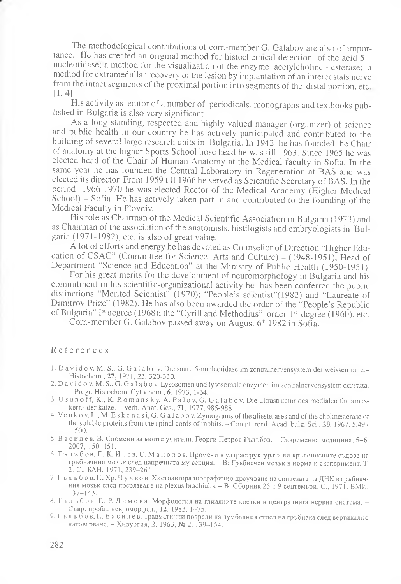The methodological contributions of corn-member G. Galabov are also of importance. He has created an original method for histochermical detection of the acid  $5$ nucleotidase, a method for the visualization of the enzyme acetylcholine - esterase; a method for extramedullar recovery of the lesion by implantation of an intercostals nerve from the intact segments of the proximal portion into segments of the distal portion, etc  $[1, 4]$ 

His activity as editor of a number of periodicals, monographs and textbooks published in Bulgaria is also very significant.

As a long-standing, respected and highly valued manager (organizer) of science and public health in our country he has actively participated and contributed to the building of several large research units in Bulgaria. In 1942 he has founded the Chair of anatomy at the higher Sports School hose head he was till 1963. Since 1965 he was elected head of the Chair of Human Anatomy at the Medical faculty in Sofia. In the same year he has founded the Central Laboratory in Regeneration at BAS and was elected its director. From 1959 till 1966 he served as Scientific Secretary of BAS. In the period 1966-1970 he was elected Rector of the Medical Academy (Higher Medical School) - Sofia. He has actively taken part in and contributed to the founding of the Medical Faculty in Plovdiv.

His role as Chairman of the Medical Scientific Association in Bulgaria (1973) and as Chairman of the association of the anatomists, histilogists and embryologists in Bulgaria (1971-1982), etc. is also of great value.

A lot of efforts and energy he has devoted as Counsellor of Direction "Higher Education of CSAC" (Committee for Science, Arts and Culture) –  $(1948-1951)$ ; Head of Department "Science and Education" at the Ministry of Public Health (1950-1951).

For his great merits for the development of neuromorphology in Bulgaria and his commitment in his scientific-organizational activity he has been conferred the public distinctions "Merited Scientist" (1970); "People's scientist"(1982) and "Laureate of Dimitrov Prize" (1982). He has also been awarded the order of the "People's Republic of Bulgaria" Ist degree (1968); the "Cyrill and Methodius" order Ist degree (1960), etc.

Corr.-member G. Galabov passed away on August 6<sup>th</sup> 1982 in Sofia.

## References

- 1. D a v i d o v, M. S., G. G a l a b o v. Die saure 5-nucleotidase im zentralnervensystem der weissen ratte.-Histochem., 27, 1971,23, 320-330.
- 2. D a v i d o v, M. S., G. G a 1 ab o v. Lysosomen und lysosomale enzymen im zentralnervensystem der ratta. -Progr. Histochem. Cytochem.,6, 1973, 1-64.
- 3. U s u n o f f , K., K. R o m a n s k y , A. Pal ov, G. Ga l a b o v . Die ultrastructur des medialen thalamuskerns der katze. - Verh. Anat. Ges., 71, 1977, 985-988.
- 4. Venkov, L., M. E skenasi, G. Galabov. Zymograms of the aliesterases and of the cholinesterase of the soluble proteins from the spinal cords of rabbits. - Compt. rend. Acad. bulg. Sci., 20, 1967, 5,497  $-500.$
- 5. В a c и л е в, В. Спомени за моите учители. Георги Петров Гълъбов. Съвременна медицина, 5—6, 2007, 150-151.
- 6 . Г ъ л ъ б о в , Г., К. Иче в, С. М а н о л о в . Промени в ултраструктурата на кръвоносните съдове на гръбначния мозък след напречната му секция. - В: Гръбначен мозък в норма и експеримент, Т. 2. С., БАН, 1971, 239-261.
- 7. Г ъ л ъ б о в, Г., Хр. Ч у ч ко в. Хистоавторадиографично проучване на синтезата на ДНК в гръбначния мозък след прерязване на plexus brachialis. - В: Сборник 25 г. 9 септември. С., 1971, ВМИ, 137-143.
- 8. Г ъ л ъ б о в, Г., Р. Димова. Морфология на глиалните клетки в централната нервна система. Съвр. пробл. невроморфол., 12, 1983, 1-75.
- 9 . Г ълъбов, Г.,Василев. Травматични повреди на лумбалния отдел на гръбнака след вертикално натоварване. - Хирургия, 2, 1963, № 2, 139-154.